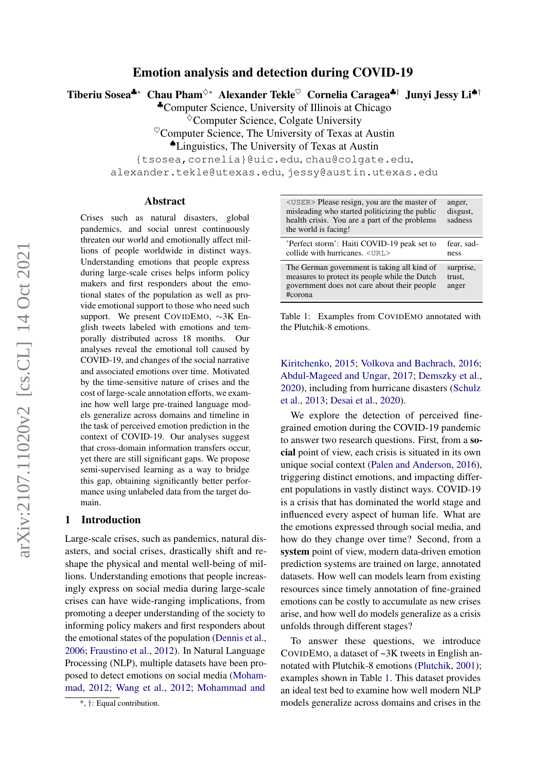# Emotion analysis and detection during COVID-19

Tiberiu Sosea♣∗ Chau Pham<sup>◇∗</sup> Alexander Tekle<sup>♡</sup> Cornelia Caragea♣† Junyi Jessy Li<sup>▲†</sup>

♣Computer Science, University of Illinois at Chicago

 $\Diamond$ Computer Science, Colgate University

 $\mathrm{^{\heartsuit}}$ Computer Science, The University of Texas at Austin

♠Linguistics, The University of Texas at Austin

{tsosea,cornelia}@uic.edu, chau@colgate.edu,

alexander.tekle@utexas.edu, jessy@austin.utexas.edu

#### Abstract

Crises such as natural disasters, global pandemics, and social unrest continuously threaten our world and emotionally affect millions of people worldwide in distinct ways. Understanding emotions that people express during large-scale crises helps inform policy makers and first responders about the emotional states of the population as well as provide emotional support to those who need such support. We present COVIDEMO, ∼3K English tweets labeled with emotions and temporally distributed across 18 months. Our analyses reveal the emotional toll caused by COVID-19, and changes of the social narrative and associated emotions over time. Motivated by the time-sensitive nature of crises and the cost of large-scale annotation efforts, we examine how well large pre-trained language models generalize across domains and timeline in the task of perceived emotion prediction in the context of COVID-19. Our analyses suggest that cross-domain information transfers occur, yet there are still significant gaps. We propose semi-supervised learning as a way to bridge this gap, obtaining significantly better performance using unlabeled data from the target domain[.](#page-0-0)

# 1 Introduction

Large-scale crises, such as pandemics, natural disasters, and social crises, drastically shift and reshape the physical and mental well-being of millions. Understanding emotions that people increasingly express on social media during large-scale crises can have wide-ranging implications, from promoting a deeper understanding of the society to informing policy makers and first responders about the emotional states of the population [\(Dennis et al.,](#page-9-0) [2006;](#page-9-0) [Fraustino et al.,](#page-9-1) [2012\)](#page-9-1). In Natural Language Processing (NLP), multiple datasets have been proposed to detect emotions on social media [\(Moham](#page-9-2)[mad,](#page-9-2) [2012;](#page-9-2) [Wang et al.,](#page-10-0) [2012;](#page-10-0) [Mohammad and](#page-9-3)

<span id="page-0-1"></span><USER> Please resign, you are the master of misleading who started politicizing the public health crisis. You are a part of the problems the world is facing! anger, disgust, sadness 'Perfect storm': Haiti COVID-19 peak set to collide with hurricanes. <URL> fear, sadness The German government is taking all kind of measures to protect its people while the Dutch government does not care about their people #corona surprise, trust, anger

Table 1: Examples from COVIDEMO annotated with the Plutchik-8 emotions.

[Kiritchenko,](#page-9-3) [2015;](#page-9-3) [Volkova and Bachrach,](#page-10-1) [2016;](#page-10-1) [Abdul-Mageed and Ungar,](#page-8-0) [2017;](#page-8-0) [Demszky et al.,](#page-9-4) [2020\)](#page-9-4), including from hurricane disasters [\(Schulz](#page-10-2) [et al.,](#page-10-2) [2013;](#page-10-2) [Desai et al.,](#page-9-5) [2020\)](#page-9-5).

We explore the detection of perceived finegrained emotion during the COVID-19 pandemic to answer two research questions. First, from a social point of view, each crisis is situated in its own unique social context [\(Palen and Anderson,](#page-10-3) [2016\)](#page-10-3), triggering distinct emotions, and impacting different populations in vastly distinct ways. COVID-19 is a crisis that has dominated the world stage and influenced every aspect of human life. What are the emotions expressed through social media, and how do they change over time? Second, from a system point of view, modern data-driven emotion prediction systems are trained on large, annotated datasets. How well can models learn from existing resources since timely annotation of fine-grained emotions can be costly to accumulate as new crises arise, and how well do models generalize as a crisis unfolds through different stages?

To answer these questions, we introduce COVIDEMO, a dataset of ~3K tweets in English annotated with Plutchik-8 emotions [\(Plutchik,](#page-10-4) [2001\)](#page-10-4); examples shown in Table [1.](#page-0-1) This dataset provides an ideal test bed to examine how well modern NLP models generalize across domains and crises in the

<span id="page-0-0"></span><sup>\*,</sup> †[: Equal contribution.](#page-9-3)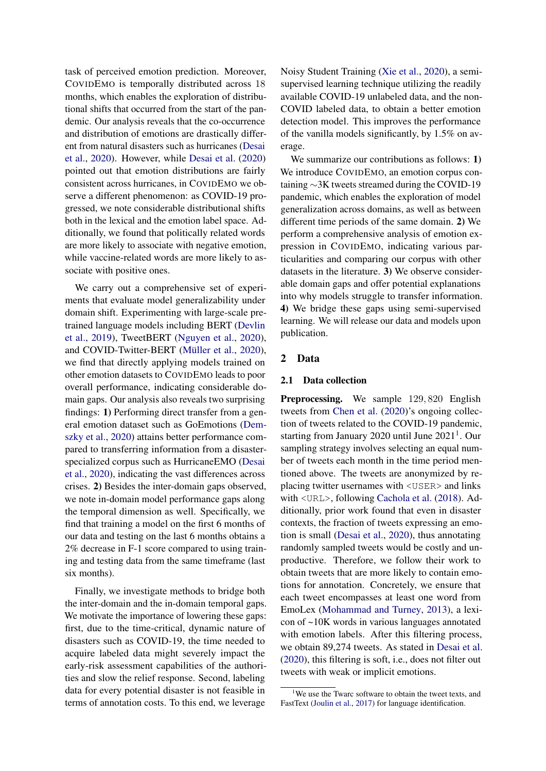task of perceived emotion prediction. Moreover, COVIDEMO is temporally distributed across 18 months, which enables the exploration of distributional shifts that occurred from the start of the pandemic. Our analysis reveals that the co-occurrence and distribution of emotions are drastically different from natural disasters such as hurricanes [\(Desai](#page-9-5) [et al.,](#page-9-5) [2020\)](#page-9-5). However, while [Desai et al.](#page-9-5) [\(2020\)](#page-9-5) pointed out that emotion distributions are fairly consistent across hurricanes, in COVIDEMO we observe a different phenomenon: as COVID-19 progressed, we note considerable distributional shifts both in the lexical and the emotion label space. Additionally, we found that politically related words are more likely to associate with negative emotion, while vaccine-related words are more likely to associate with positive ones.

We carry out a comprehensive set of experiments that evaluate model generalizability under domain shift. Experimenting with large-scale pretrained language models including BERT [\(Devlin](#page-9-6) [et al.,](#page-9-6) [2019\)](#page-9-6), TweetBERT [\(Nguyen et al.,](#page-9-7) [2020\)](#page-9-7), and COVID-Twitter-BERT [\(Müller et al.,](#page-9-8) [2020\)](#page-9-8), we find that directly applying models trained on other emotion datasets to COVIDEMO leads to poor overall performance, indicating considerable domain gaps. Our analysis also reveals two surprising findings: 1) Performing direct transfer from a general emotion dataset such as GoEmotions [\(Dem](#page-9-4)[szky et al.,](#page-9-4) [2020\)](#page-9-4) attains better performance compared to transferring information from a disasterspecialized corpus such as HurricaneEMO [\(Desai](#page-9-5) [et al.,](#page-9-5) [2020\)](#page-9-5), indicating the vast differences across crises. 2) Besides the inter-domain gaps observed, we note in-domain model performance gaps along the temporal dimension as well. Specifically, we find that training a model on the first 6 months of our data and testing on the last 6 months obtains a 2% decrease in F-1 score compared to using training and testing data from the same timeframe (last six months).

Finally, we investigate methods to bridge both the inter-domain and the in-domain temporal gaps. We motivate the importance of lowering these gaps: first, due to the time-critical, dynamic nature of disasters such as COVID-19, the time needed to acquire labeled data might severely impact the early-risk assessment capabilities of the authorities and slow the relief response. Second, labeling data for every potential disaster is not feasible in terms of annotation costs. To this end, we leverage

Noisy Student Training [\(Xie et al.,](#page-10-5) [2020\)](#page-10-5), a semisupervised learning technique utilizing the readily available COVID-19 unlabeled data, and the non-COVID labeled data, to obtain a better emotion detection model. This improves the performance of the vanilla models significantly, by 1.5% on average.

We summarize our contributions as follows: 1) We introduce COVIDEMO, an emotion corpus containing ∼3K tweets streamed during the COVID-19 pandemic, which enables the exploration of model generalization across domains, as well as between different time periods of the same domain. 2) We perform a comprehensive analysis of emotion expression in COVIDEMO, indicating various particularities and comparing our corpus with other datasets in the literature. 3) We observe considerable domain gaps and offer potential explanations into why models struggle to transfer information. 4) We bridge these gaps using semi-supervised learning. We will release our data and models upon publication.

#### 2 Data

#### 2.1 Data collection

Preprocessing. We sample 129,820 English tweets from [Chen et al.](#page-8-1) [\(2020\)](#page-8-1)'s ongoing collection of tweets related to the COVID-19 pandemic, starting from January 2020 until June  $2021<sup>1</sup>$  $2021<sup>1</sup>$  $2021<sup>1</sup>$ . Our sampling strategy involves selecting an equal number of tweets each month in the time period mentioned above. The tweets are anonymized by replacing twitter usernames with <USER> and links with <URL>, following [Cachola et al.](#page-8-2) [\(2018\)](#page-8-2). Additionally, prior work found that even in disaster contexts, the fraction of tweets expressing an emotion is small [\(Desai et al.,](#page-9-5) [2020\)](#page-9-5), thus annotating randomly sampled tweets would be costly and unproductive. Therefore, we follow their work to obtain tweets that are more likely to contain emotions for annotation. Concretely, we ensure that each tweet encompasses at least one word from EmoLex [\(Mohammad and Turney,](#page-9-9) [2013\)](#page-9-9), a lexicon of ~10K words in various languages annotated with emotion labels. After this filtering process, we obtain 89,274 tweets. As stated in [Desai et al.](#page-9-5) [\(2020\)](#page-9-5), this filtering is soft, i.e., does not filter out tweets with weak or implicit emotions.

<span id="page-1-0"></span><sup>&</sup>lt;sup>1</sup>We use the Twarc software to obtain the tweet texts, and FastText [\(Joulin et al.,](#page-9-10) [2017\)](#page-9-10) for language identification.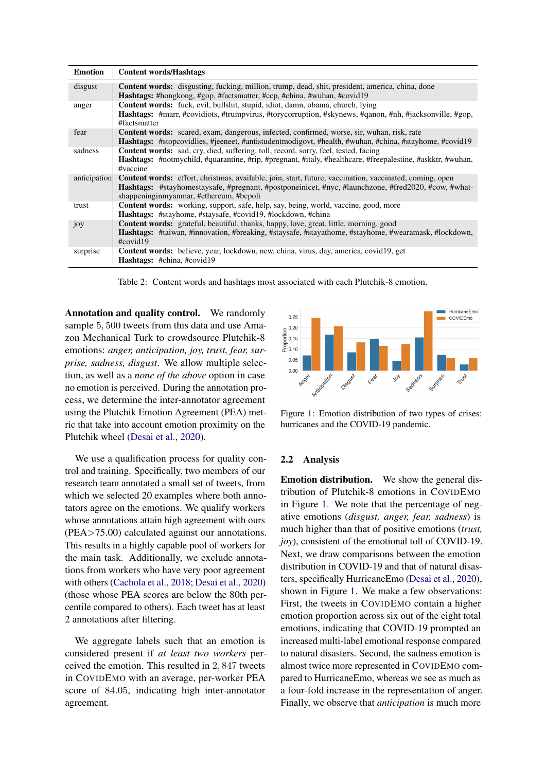<span id="page-2-1"></span>

| <b>Emotion</b>  | <b>Content words/Hashtags</b>                                                                                                                                                            |
|-----------------|------------------------------------------------------------------------------------------------------------------------------------------------------------------------------------------|
| disgust         | <b>Content words:</b> disgusting, fucking, million, trump, dead, shit, president, america, china, done<br><b>Hashtags:</b> #hongkong, #gop, #factsmatter, #ccp, #china, #wuhan, #covid19 |
| anger           | <b>Content words:</b> fuck, evil, bullshit, stupid, idiot, damn, obama, church, lying                                                                                                    |
|                 | <b>Hashtags:</b> #marr, #covidiots, #trumpvirus, #torycorruption, #skynews, #qanon, #nh, #jacksonville, #gop,<br>#factsmatter                                                            |
| fear            | <b>Content words:</b> scared, exam, dangerous, infected, confirmed, worse, sir, wuhan, risk, rate                                                                                        |
|                 | <b>Hashtags:</b> #stopcovidlies, #jeeneet, #antistudentmodigovt, #health, #wuhan, #china, #stayhome, #covid19                                                                            |
| sadness         | <b>Content words:</b> sad, cry, died, suffering, toll, record, sorry, feel, tested, facing                                                                                               |
|                 | <b>Hashtags:</b> #notmychild, #quarantine, #rip, #pregnant, #italy, #healthcare, #freepalestine, #askktr, #wuhan,<br>#vaccine                                                            |
| anticipation    | <b>Content words:</b> effort, christmas, available, join, start, future, vaccination, vaccinated, coming, open                                                                           |
|                 | Hashtags: #stayhomestaysafe, #pregnant, #postponeinicet, #nyc, #launchzone, #fred2020, #cow, #what-<br>shappeninginmyanmar, #ethereum, #bcpoli                                           |
| trust           | <b>Content words:</b> working, support, safe, help, say, being, world, vaccine, good, more                                                                                               |
|                 | <b>Hashtags:</b> #stayhome, #staysafe, #covid19, #lockdown, #china                                                                                                                       |
| 10 <sub>y</sub> | <b>Content words:</b> grateful, beautiful, thanks, happy, love, great, little, morning, good                                                                                             |
|                 | Hashtags: #taiwan, #innovation, #breaking, #staysafe, #stayathome, #stayhome, #wearamask, #lockdown,<br>$\#covid19$                                                                      |
| surprise        | <b>Content words:</b> believe, year, lockdown, new, china, virus, day, america, covid 19, get                                                                                            |
|                 | <b>Hashtags:</b> #china, #covid19                                                                                                                                                        |

Table 2: Content words and hashtags most associated with each Plutchik-8 emotion.

Annotation and quality control. We randomly sample 5, 500 tweets from this data and use Amazon Mechanical Turk to crowdsource Plutchik-8 emotions: *anger, anticipation, joy, trust, fear, surprise, sadness, disgust*. We allow multiple selection, as well as a *none of the above* option in case no emotion is perceived. During the annotation process, we determine the inter-annotator agreement using the Plutchik Emotion Agreement (PEA) metric that take into account emotion proximity on the Plutchik wheel [\(Desai et al.,](#page-9-5) [2020\)](#page-9-5).

We use a qualification process for quality control and training. Specifically, two members of our research team annotated a small set of tweets, from which we selected 20 examples where both annotators agree on the emotions. We qualify workers whose annotations attain high agreement with ours (PEA>75.00) calculated against our annotations. This results in a highly capable pool of workers for the main task. Additionally, we exclude annotations from workers who have very poor agreement with others [\(Cachola et al.,](#page-8-2) [2018;](#page-8-2) [Desai et al.,](#page-9-5) [2020\)](#page-9-5) (those whose PEA scores are below the 80th percentile compared to others). Each tweet has at least 2 annotations after filtering.

We aggregate labels such that an emotion is considered present if *at least two workers* perceived the emotion. This resulted in 2, 847 tweets in COVIDEMO with an average, per-worker PEA score of 84.05, indicating high inter-annotator agreement.

<span id="page-2-0"></span>

Figure 1: Emotion distribution of two types of crises: hurricanes and the COVID-19 pandemic.

# <span id="page-2-2"></span>2.2 Analysis

Emotion distribution. We show the general distribution of Plutchik-8 emotions in COVIDEMO in Figure [1.](#page-2-0) We note that the percentage of negative emotions (*disgust, anger, fear, sadness*) is much higher than that of positive emotions (*trust, joy*), consistent of the emotional toll of COVID-19. Next, we draw comparisons between the emotion distribution in COVID-19 and that of natural disasters, specifically HurricaneEmo [\(Desai et al.,](#page-9-5) [2020\)](#page-9-5), shown in Figure [1.](#page-2-0) We make a few observations: First, the tweets in COVIDEMO contain a higher emotion proportion across six out of the eight total emotions, indicating that COVID-19 prompted an increased multi-label emotional response compared to natural disasters. Second, the sadness emotion is almost twice more represented in COVIDEMO compared to HurricaneEmo, whereas we see as much as a four-fold increase in the representation of anger. Finally, we observe that *anticipation* is much more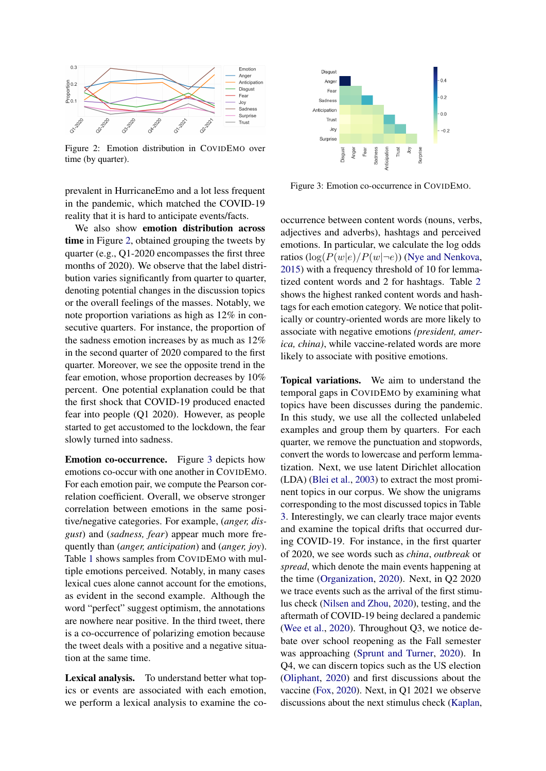<span id="page-3-0"></span>

Figure 2: Emotion distribution in COVIDEMO over time (by quarter).

prevalent in HurricaneEmo and a lot less frequent in the pandemic, which matched the COVID-19 reality that it is hard to anticipate events/facts.

We also show emotion distribution across time in Figure [2,](#page-3-0) obtained grouping the tweets by quarter (e.g., Q1-2020 encompasses the first three months of 2020). We observe that the label distribution varies significantly from quarter to quarter, denoting potential changes in the discussion topics or the overall feelings of the masses. Notably, we note proportion variations as high as 12% in consecutive quarters. For instance, the proportion of the sadness emotion increases by as much as 12% in the second quarter of 2020 compared to the first quarter. Moreover, we see the opposite trend in the fear emotion, whose proportion decreases by 10% percent. One potential explanation could be that the first shock that COVID-19 produced enacted fear into people (Q1 2020). However, as people started to get accustomed to the lockdown, the fear slowly turned into sadness.

Emotion co-occurrence. Figure [3](#page-3-1) depicts how emotions co-occur with one another in COVIDEMO. For each emotion pair, we compute the Pearson correlation coefficient. Overall, we observe stronger correlation between emotions in the same positive/negative categories. For example, (*anger, disgust*) and (*sadness, fear*) appear much more frequently than (*anger, anticipation*) and (*anger, joy*). Table [1](#page-0-1) shows samples from COVIDEMO with multiple emotions perceived. Notably, in many cases lexical cues alone cannot account for the emotions, as evident in the second example. Although the word "perfect" suggest optimism, the annotations are nowhere near positive. In the third tweet, there is a co-occurrence of polarizing emotion because the tweet deals with a positive and a negative situation at the same time.

Lexical analysis. To understand better what topics or events are associated with each emotion, we perform a lexical analysis to examine the co-

<span id="page-3-1"></span>

Figure 3: Emotion co-occurrence in COVIDEMO.

occurrence between content words (nouns, verbs, adjectives and adverbs), hashtags and perceived emotions. In particular, we calculate the log odds ratios  $(\log(P(w|e)/P(w|\neg e))$  [\(Nye and Nenkova,](#page-10-6) [2015\)](#page-10-6) with a frequency threshold of 10 for lemmatized content words and 2 for hashtags. Table [2](#page-2-1) shows the highest ranked content words and hashtags for each emotion category. We notice that politically or country-oriented words are more likely to associate with negative emotions *(president, america, china)*, while vaccine-related words are more likely to associate with positive emotions.

Topical variations. We aim to understand the temporal gaps in COVIDEMO by examining what topics have been discusses during the pandemic. In this study, we use all the collected unlabeled examples and group them by quarters. For each quarter, we remove the punctuation and stopwords, convert the words to lowercase and perform lemmatization. Next, we use latent Dirichlet allocation (LDA) [\(Blei et al.,](#page-8-3) [2003\)](#page-8-3) to extract the most prominent topics in our corpus. We show the unigrams corresponding to the most discussed topics in Table [3.](#page-4-0) Interestingly, we can clearly trace major events and examine the topical drifts that occurred during COVID-19. For instance, in the first quarter of 2020, we see words such as *china*, *outbreak* or *spread*, which denote the main events happening at the time [\(Organization,](#page-10-7) [2020\)](#page-10-7). Next, in Q2 2020 we trace events such as the arrival of the first stimulus check [\(Nilsen and Zhou,](#page-9-11) [2020\)](#page-9-11), testing, and the aftermath of COVID-19 being declared a pandemic [\(Wee et al.,](#page-10-8) [2020\)](#page-10-8). Throughout Q3, we notice debate over school reopening as the Fall semester was approaching [\(Sprunt and Turner,](#page-10-9) [2020\)](#page-10-9). In Q4, we can discern topics such as the US election [\(Oliphant,](#page-10-10) [2020\)](#page-10-10) and first discussions about the vaccine [\(Fox,](#page-9-12) [2020\)](#page-9-12). Next, in Q1 2021 we observe discussions about the next stimulus check [\(Kaplan,](#page-9-13)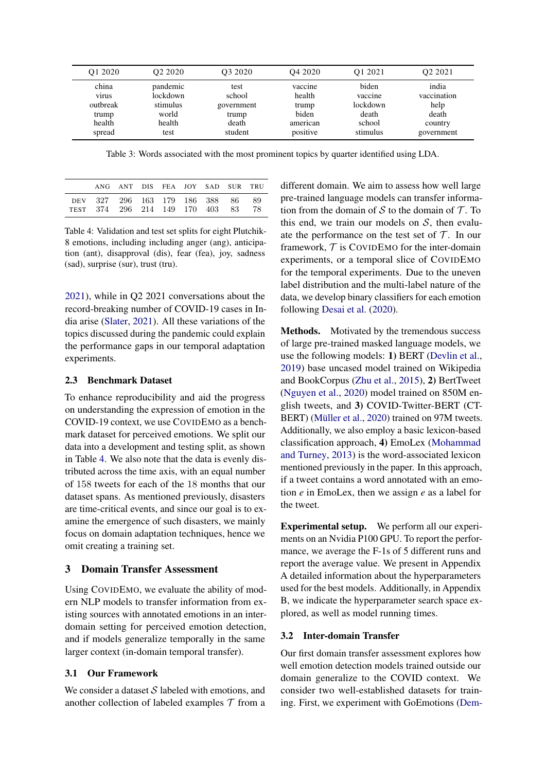<span id="page-4-0"></span>

| O1 2020      | O <sub>2</sub> 2020 | O <sub>3</sub> 2020 | O <sub>4</sub> 2020 | 01 2021  | O <sub>2</sub> 2021 |
|--------------|---------------------|---------------------|---------------------|----------|---------------------|
| china        | pandemic            | test                | vaccine             | biden    | india               |
| <b>VITUS</b> | lockdown            | school              | health              | vaccine  | vaccination         |
| outbreak     | stimulus            | government          | trump               | lockdown | help                |
| trump        | world               | trump               | biden               | death    | death               |
| health       | health              | death               | american            | school   | country             |
| spread       | test                | student             | positive            | stimulus | government          |

Table 3: Words associated with the most prominent topics by quarter identified using LDA.

<span id="page-4-1"></span>

|                                                                   | ANG ANT DIS FEA JOY SAD SUR TRU |  |  |            |
|-------------------------------------------------------------------|---------------------------------|--|--|------------|
| DEV 327 296 163 179 186 388 86<br>TEST 374 296 214 149 170 403 83 |                                 |  |  | -89<br>-78 |

Table 4: Validation and test set splits for eight Plutchik-8 emotions, including including anger (ang), anticipation (ant), disapproval (dis), fear (fea), joy, sadness (sad), surprise (sur), trust (tru).

[2021\)](#page-9-13), while in Q2 2021 conversations about the record-breaking number of COVID-19 cases in India arise [\(Slater,](#page-10-11) [2021\)](#page-10-11). All these variations of the topics discussed during the pandemic could explain the performance gaps in our temporal adaptation experiments.

### 2.3 Benchmark Dataset

To enhance reproducibility and aid the progress on understanding the expression of emotion in the COVID-19 context, we use COVIDEMO as a benchmark dataset for perceived emotions. We split our data into a development and testing split, as shown in Table [4.](#page-4-1) We also note that the data is evenly distributed across the time axis, with an equal number of 158 tweets for each of the 18 months that our dataset spans. As mentioned previously, disasters are time-critical events, and since our goal is to examine the emergence of such disasters, we mainly focus on domain adaptation techniques, hence we omit creating a training set.

### 3 Domain Transfer Assessment

Using COVIDEMO, we evaluate the ability of modern NLP models to transfer information from existing sources with annotated emotions in an interdomain setting for perceived emotion detection, and if models generalize temporally in the same larger context (in-domain temporal transfer).

## 3.1 Our Framework

We consider a dataset  $S$  labeled with emotions, and another collection of labeled examples  $\mathcal T$  from a different domain. We aim to assess how well large pre-trained language models can transfer information from the domain of S to the domain of  $\mathcal T$ . To this end, we train our models on  $S$ , then evaluate the performance on the test set of  $\mathcal T$ . In our framework,  $T$  is COVIDEMO for the inter-domain experiments, or a temporal slice of COVIDEMO for the temporal experiments. Due to the uneven label distribution and the multi-label nature of the data, we develop binary classifiers for each emotion following [Desai et al.](#page-9-5) [\(2020\)](#page-9-5).

Methods. Motivated by the tremendous success of large pre-trained masked language models, we use the following models: 1) BERT [\(Devlin et al.,](#page-9-6) [2019\)](#page-9-6) base uncased model trained on Wikipedia and BookCorpus [\(Zhu et al.,](#page-10-12) [2015\)](#page-10-12), 2) BertTweet [\(Nguyen et al.,](#page-9-7) [2020\)](#page-9-7) model trained on 850M english tweets, and 3) COVID-Twitter-BERT (CT-BERT) [\(Müller et al.,](#page-9-8) [2020\)](#page-9-8) trained on 97M tweets. Additionally, we also employ a basic lexicon-based classification approach, 4) EmoLex [\(Mohammad](#page-9-9) [and Turney,](#page-9-9) [2013\)](#page-9-9) is the word-associated lexicon mentioned previously in the paper. In this approach, if a tweet contains a word annotated with an emotion *e* in EmoLex, then we assign *e* as a label for the tweet.

Experimental setup. We perform all our experiments on an Nvidia P100 GPU. To report the performance, we average the F-1s of 5 different runs and report the average value. We present in Appendix A detailed information about the hyperparameters used for the best models. Additionally, in Appendix B, we indicate the hyperparameter search space explored, as well as model running times.

### <span id="page-4-2"></span>3.2 Inter-domain Transfer

Our first domain transfer assessment explores how well emotion detection models trained outside our domain generalize to the COVID context. We consider two well-established datasets for training. First, we experiment with GoEmotions [\(Dem-](#page-9-4)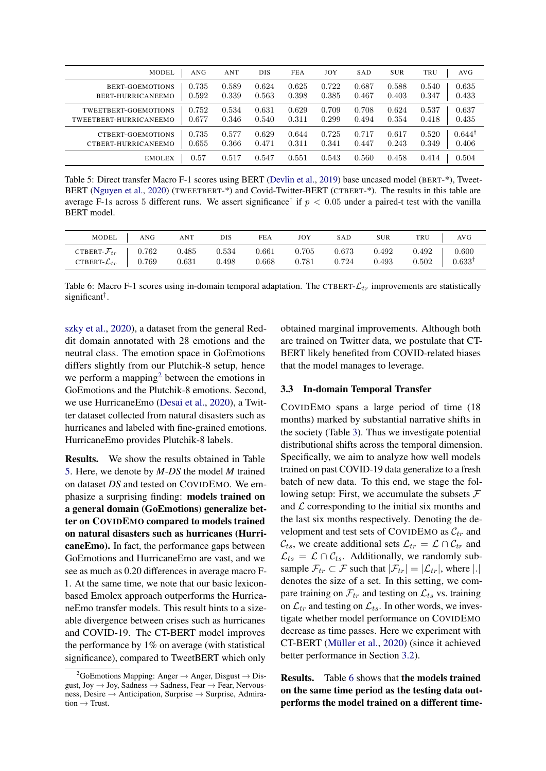<span id="page-5-1"></span>

| <b>MODEL</b>                                   | ANG            | ANT            | <b>DIS</b>     | <b>FEA</b>     | JOY            | <b>SAD</b>     | <b>SUR</b>     | TRU<br>AVG                                      |
|------------------------------------------------|----------------|----------------|----------------|----------------|----------------|----------------|----------------|-------------------------------------------------|
| BERT-GOEMOTIONS<br>BERT-HURRICANEEMO           | 0.735<br>0.592 | 0.589<br>0.339 | 0.624<br>0.563 | 0.625<br>0.398 | 0.722<br>0.385 | 0.687<br>0.467 | 0.588<br>0.403 | 0.635<br>0.540<br>0.433<br>0.347                |
| TWEETBERT-GOEMOTIONS<br>TWEETBERT-HURRICANEEMO | 0.752<br>0.677 | 0.534<br>0.346 | 0.631<br>0.540 | 0.629<br>0.311 | 0.709<br>0.299 | 0.708<br>0.494 | 0.624<br>0.354 | 0.537<br>0.637<br>0.435<br>0.418                |
| CTBERT-GOEMOTIONS<br>CTBERT-HURRICANEEMO       | 0.735<br>0.655 | 0.577<br>0.366 | 0.629<br>0.471 | 0.644<br>0.311 | 0.725<br>0.341 | 0.717<br>0.447 | 0.617<br>0.243 | $0.644$ <sup>T</sup><br>0.520<br>0.406<br>0.349 |
| <b>EMOLEX</b>                                  | 0.57           | 0.517          | 0.547          | 0.551          | 0.543          | 0.560          | 0.458          | 0.504<br>0.414                                  |

Table 5: Direct transfer Macro F-1 scores using BERT [\(Devlin et al.,](#page-9-6) [2019\)](#page-9-6) base uncased model (BERT-\*), Tweet-BERT [\(Nguyen et al.,](#page-9-7) [2020\)](#page-9-7) (TWEETBERT-\*) and Covid-Twitter-BERT (CTBERT-\*). The results in this table are average F-1s across 5 different runs. We assert significance<sup>†</sup> if  $p < 0.05$  under a paired-t test with the vanilla BERT model.

<span id="page-5-2"></span>

| MODEL                      | ANG                 | ANT   | DIS   | FEA   | JOY   | SAD   | <b>SUR</b> | TRU   | AVG               |
|----------------------------|---------------------|-------|-------|-------|-------|-------|------------|-------|-------------------|
| CTBERT- $\mathcal{F}_{tr}$ | $\vert$ 0.762       | 0.485 | 0.534 | 0.661 | 0.705 | 0.673 | 0.492      | 0.492 | 0.600             |
| CTBERT- $\mathcal{L}_{tr}$ | $\vert 0.769 \vert$ | 0.631 | 0.498 | 0.668 | 0.781 | 0.724 | 0.493      | 0.502 | $0.633^{\dagger}$ |

Table 6: Macro F-1 scores using in-domain temporal adaptation. The CTBERT- $\mathcal{L}_{tr}$  improvements are statistically significant† .

[szky et al.,](#page-9-4) [2020\)](#page-9-4), a dataset from the general Reddit domain annotated with 28 emotions and the neutral class. The emotion space in GoEmotions differs slightly from our Plutchik-8 setup, hence we perform a mapping<sup>[2](#page-5-0)</sup> between the emotions in GoEmotions and the Plutchik-8 emotions. Second, we use HurricaneEmo [\(Desai et al.,](#page-9-5) [2020\)](#page-9-5), a Twitter dataset collected from natural disasters such as hurricanes and labeled with fine-grained emotions. HurricaneEmo provides Plutchik-8 labels.

Results. We show the results obtained in Table [5.](#page-5-1) Here, we denote by *M*-*DS* the model *M* trained on dataset *DS* and tested on COVIDEMO. We emphasize a surprising finding: models trained on a general domain (GoEmotions) generalize better on COVIDEMO compared to models trained on natural disasters such as hurricanes (HurricaneEmo). In fact, the performance gaps between GoEmotions and HurricaneEmo are vast, and we see as much as 0.20 differences in average macro F-1. At the same time, we note that our basic lexiconbased Emolex approach outperforms the HurricaneEmo transfer models. This result hints to a sizeable divergence between crises such as hurricanes and COVID-19. The CT-BERT model improves the performance by 1% on average (with statistical significance), compared to TweetBERT which only

obtained marginal improvements. Although both are trained on Twitter data, we postulate that CT-BERT likely benefited from COVID-related biases that the model manages to leverage.

### 3.3 In-domain Temporal Transfer

COVIDEMO spans a large period of time (18 months) marked by substantial narrative shifts in the society (Table [3\)](#page-4-0). Thus we investigate potential distributional shifts across the temporal dimension. Specifically, we aim to analyze how well models trained on past COVID-19 data generalize to a fresh batch of new data. To this end, we stage the following setup: First, we accumulate the subsets  $\mathcal F$ and  $\mathcal L$  corresponding to the initial six months and the last six months respectively. Denoting the development and test sets of COVIDEMO as  $\mathcal{C}_{tr}$  and  $\mathcal{C}_{ts}$ , we create additional sets  $\mathcal{L}_{tr} = \mathcal{L} \cap \mathcal{C}_{tr}$  and  $\mathcal{L}_{ts} = \mathcal{L} \cap \mathcal{C}_{ts}$ . Additionally, we randomly subsample  $\mathcal{F}_{tr} \subset \mathcal{F}$  such that  $|\mathcal{F}_{tr}| = |\mathcal{L}_{tr}|$ , where |.| denotes the size of a set. In this setting, we compare training on  $\mathcal{F}_{tr}$  and testing on  $\mathcal{L}_{ts}$  vs. training on  $\mathcal{L}_{tr}$  and testing on  $\mathcal{L}_{ts}$ . In other words, we investigate whether model performance on COVIDEMO decrease as time passes. Here we experiment with CT-BERT [\(Müller et al.,](#page-9-8) [2020\)](#page-9-8) (since it achieved better performance in Section [3.2\)](#page-4-2).

Results. Table [6](#page-5-2) shows that the models trained on the same time period as the testing data outperforms the model trained on a different time-

<span id="page-5-0"></span><sup>&</sup>lt;sup>2</sup>GoEmotions Mapping: Anger  $\rightarrow$  Anger, Disgust  $\rightarrow$  Disgust, Joy  $\rightarrow$  Joy, Sadness  $\rightarrow$  Sadness, Fear  $\rightarrow$  Fear, Nervousness, Desire → Anticipation, Surprise → Surprise, Admira $tion \rightarrow Trust.$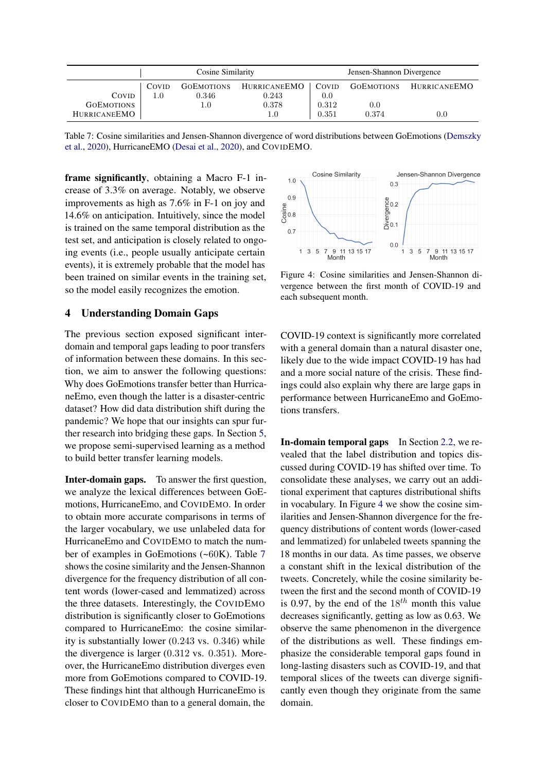<span id="page-6-0"></span>

|                     |       | Cosine Similarity |                     |       | Jensen-Shannon Divergence |                     |
|---------------------|-------|-------------------|---------------------|-------|---------------------------|---------------------|
|                     | COVID | <b>GOEMOTIONS</b> | <b>HURRICANEEMO</b> | COVID | <b>GOEMOTIONS</b>         | <b>HURRICANEEMO</b> |
| COVID               | 1.0   | 0.346             | 0.243               | 0.0   |                           |                     |
| <b>GOEMOTIONS</b>   |       | $1.0^{\circ}$     | 0.378               | 0.312 | 0.0                       |                     |
| <b>HURRICANEEMO</b> |       |                   | 1.0                 | 0.351 | 0.374                     | $0.0\,$             |

Table 7: Cosine similarities and Jensen-Shannon divergence of word distributions between GoEmotions [\(Demszky](#page-9-4) [et al.,](#page-9-4) [2020\)](#page-9-4), HurricaneEMO [\(Desai et al.,](#page-9-5) [2020\)](#page-9-5), and COVIDEMO.

frame significantly, obtaining a Macro F-1 increase of 3.3% on average. Notably, we observe improvements as high as 7.6% in F-1 on joy and 14.6% on anticipation. Intuitively, since the model is trained on the same temporal distribution as the test set, and anticipation is closely related to ongoing events (i.e., people usually anticipate certain events), it is extremely probable that the model has been trained on similar events in the training set, so the model easily recognizes the emotion.

## 4 Understanding Domain Gaps

The previous section exposed significant interdomain and temporal gaps leading to poor transfers of information between these domains. In this section, we aim to answer the following questions: Why does GoEmotions transfer better than HurricaneEmo, even though the latter is a disaster-centric dataset? How did data distribution shift during the pandemic? We hope that our insights can spur further research into bridging these gaps. In Section [5,](#page-7-0) we propose semi-supervised learning as a method to build better transfer learning models.

Inter-domain gaps. To answer the first question, we analyze the lexical differences between GoEmotions, HurricaneEmo, and COVIDEMO. In order to obtain more accurate comparisons in terms of the larger vocabulary, we use unlabeled data for HurricaneEmo and COVIDEMO to match the number of examples in GoEmotions (~60K). Table [7](#page-6-0) shows the cosine similarity and the Jensen-Shannon divergence for the frequency distribution of all content words (lower-cased and lemmatized) across the three datasets. Interestingly, the COVIDEMO distribution is significantly closer to GoEmotions compared to HurricaneEmo: the cosine similarity is substantially lower (0.243 vs. 0.346) while the divergence is larger (0.312 vs. 0.351). Moreover, the HurricaneEmo distribution diverges even more from GoEmotions compared to COVID-19. These findings hint that although HurricaneEmo is closer to COVIDEMO than to a general domain, the

<span id="page-6-1"></span>

Figure 4: Cosine similarities and Jensen-Shannon divergence between the first month of COVID-19 and each subsequent month.

COVID-19 context is significantly more correlated with a general domain than a natural disaster one, likely due to the wide impact COVID-19 has had and a more social nature of the crisis. These findings could also explain why there are large gaps in performance between HurricaneEmo and GoEmotions transfers.

In-domain temporal gaps In Section [2.2,](#page-2-2) we revealed that the label distribution and topics discussed during COVID-19 has shifted over time. To consolidate these analyses, we carry out an additional experiment that captures distributional shifts in vocabulary. In Figure [4](#page-6-1) we show the cosine similarities and Jensen-Shannon divergence for the frequency distributions of content words (lower-cased and lemmatized) for unlabeled tweets spanning the 18 months in our data. As time passes, we observe a constant shift in the lexical distribution of the tweets. Concretely, while the cosine similarity between the first and the second month of COVID-19 is 0.97, by the end of the  $18^{th}$  month this value decreases significantly, getting as low as 0.63. We observe the same phenomenon in the divergence of the distributions as well. These findings emphasize the considerable temporal gaps found in long-lasting disasters such as COVID-19, and that temporal slices of the tweets can diverge significantly even though they originate from the same domain.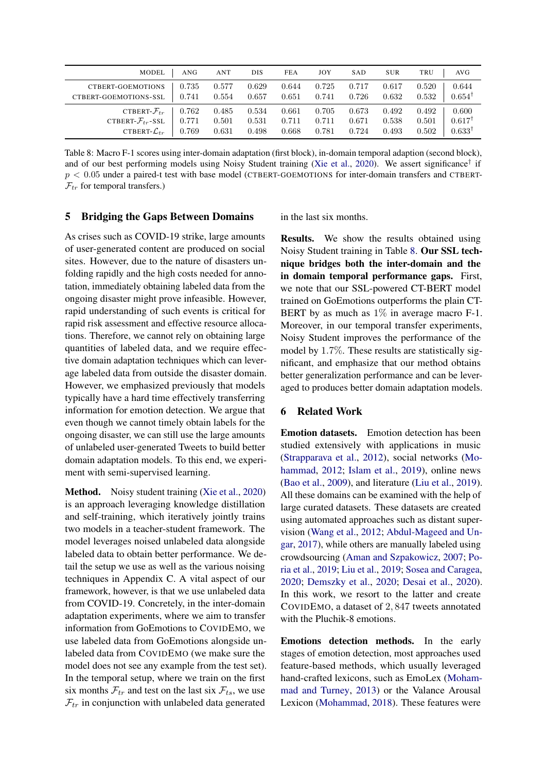<span id="page-7-1"></span>

| <b>MODEL</b>                                                                                | ANG                     | <b>ANT</b>              | <b>DIS</b>              | <b>FEA</b>              | JOY                     | SAD                     | <b>SUR</b>              | TRU<br>AV G                                                                |
|---------------------------------------------------------------------------------------------|-------------------------|-------------------------|-------------------------|-------------------------|-------------------------|-------------------------|-------------------------|----------------------------------------------------------------------------|
| CTBERT-GOEMOTIONS<br>CTBERT-GOEMOTIONS-SSL                                                  | 0.735<br>0.741          | 0.577<br>0.554          | 0.629<br>0.657          | 0.644<br>0.651          | 0.725<br>0.741          | 0.717<br>0.726          | 0.617<br>0.632          | 0.644<br>0.520<br>$0.654^{\dagger}$<br>0.532                               |
| CTBERT- $\mathcal{F}_{tr}$<br>CTBERT- $\mathcal{F}_{tr}$ -SSL<br>CTBERT- $\mathcal{L}_{tr}$ | 0.762<br>0.771<br>0.769 | 0.485<br>0.501<br>0.631 | 0.534<br>0.531<br>0.498 | 0.661<br>0.711<br>0.668 | 0.705<br>0.711<br>0.781 | 0.673<br>0.671<br>0.724 | 0.492<br>0.538<br>0.493 | 0.600<br>0.492<br>$0.617^{\dagger}$<br>0.501<br>$0.633^{\dagger}$<br>0.502 |

Table 8: Macro F-1 scores using inter-domain adaptation (first block), in-domain temporal adaption (second block), and of our best performing models using Noisy Student training [\(Xie et al.,](#page-10-5) [2020\)](#page-10-5). We assert significance<sup>†</sup> if  $p < 0.05$  under a paired-t test with base model (CTBERT-GOEMOTIONS for inter-domain transfers and CTBERT- $\mathcal{F}_{tr}$  for temporal transfers.)

# <span id="page-7-0"></span>5 Bridging the Gaps Between Domains

As crises such as COVID-19 strike, large amounts of user-generated content are produced on social sites. However, due to the nature of disasters unfolding rapidly and the high costs needed for annotation, immediately obtaining labeled data from the ongoing disaster might prove infeasible. However, rapid understanding of such events is critical for rapid risk assessment and effective resource allocations. Therefore, we cannot rely on obtaining large quantities of labeled data, and we require effective domain adaptation techniques which can leverage labeled data from outside the disaster domain. However, we emphasized previously that models typically have a hard time effectively transferring information for emotion detection. We argue that even though we cannot timely obtain labels for the ongoing disaster, we can still use the large amounts of unlabeled user-generated Tweets to build better domain adaptation models. To this end, we experiment with semi-supervised learning.

Method. Noisy student training [\(Xie et al.,](#page-10-5) [2020\)](#page-10-5) is an approach leveraging knowledge distillation and self-training, which iteratively jointly trains two models in a teacher-student framework. The model leverages noised unlabeled data alongside labeled data to obtain better performance. We detail the setup we use as well as the various noising techniques in Appendix C. A vital aspect of our framework, however, is that we use unlabeled data from COVID-19. Concretely, in the inter-domain adaptation experiments, where we aim to transfer information from GoEmotions to COVIDEMO, we use labeled data from GoEmotions alongside unlabeled data from COVIDEMO (we make sure the model does not see any example from the test set). In the temporal setup, where we train on the first six months  $\mathcal{F}_{tr}$  and test on the last six  $\mathcal{F}_{ts}$ , we use  $\mathcal{F}_{tr}$  in conjunction with unlabeled data generated

in the last six months.

Results. We show the results obtained using Noisy Student training in Table [8.](#page-7-1) Our SSL technique bridges both the inter-domain and the in domain temporal performance gaps. First, we note that our SSL-powered CT-BERT model trained on GoEmotions outperforms the plain CT-BERT by as much as  $1\%$  in average macro F-1. Moreover, in our temporal transfer experiments, Noisy Student improves the performance of the model by 1.7%. These results are statistically significant, and emphasize that our method obtains better generalization performance and can be leveraged to produces better domain adaptation models.

### 6 Related Work

Emotion datasets. Emotion detection has been studied extensively with applications in music [\(Strapparava et al.,](#page-10-13) [2012\)](#page-10-13), social networks [\(Mo](#page-9-2)[hammad,](#page-9-2) [2012;](#page-9-2) [Islam et al.,](#page-9-14) [2019\)](#page-9-14), online news [\(Bao et al.,](#page-8-4) [2009\)](#page-8-4), and literature [\(Liu et al.,](#page-9-15) [2019\)](#page-9-15). All these domains can be examined with the help of large curated datasets. These datasets are created using automated approaches such as distant supervision [\(Wang et al.,](#page-10-0) [2012;](#page-10-0) [Abdul-Mageed and Un](#page-8-0)[gar,](#page-8-0) [2017\)](#page-8-0), while others are manually labeled using crowdsourcing [\(Aman and Szpakowicz,](#page-8-5) [2007;](#page-8-5) [Po](#page-10-14)[ria et al.,](#page-10-14) [2019;](#page-10-14) [Liu et al.,](#page-9-15) [2019;](#page-9-15) [Sosea and Caragea,](#page-10-15) [2020;](#page-10-15) [Demszky et al.,](#page-9-4) [2020;](#page-9-4) [Desai et al.,](#page-9-5) [2020\)](#page-9-5). In this work, we resort to the latter and create COVIDEMO, a dataset of 2, 847 tweets annotated with the Pluchik-8 emotions.

Emotions detection methods. In the early stages of emotion detection, most approaches used feature-based methods, which usually leveraged hand-crafted lexicons, such as EmoLex [\(Moham](#page-9-9)[mad and Turney,](#page-9-9) [2013\)](#page-9-9) or the Valance Arousal Lexicon [\(Mohammad,](#page-9-16) [2018\)](#page-9-16). These features were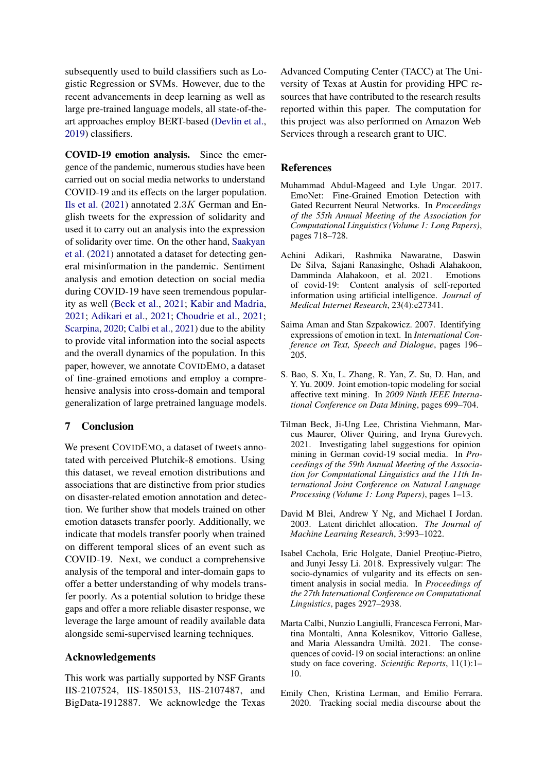subsequently used to build classifiers such as Logistic Regression or SVMs. However, due to the recent advancements in deep learning as well as large pre-trained language models, all state-of-theart approaches employ BERT-based [\(Devlin et al.,](#page-9-6) [2019\)](#page-9-6) classifiers.

COVID-19 emotion analysis. Since the emergence of the pandemic, numerous studies have been carried out on social media networks to understand COVID-19 and its effects on the larger population. [Ils et al.](#page-9-17) [\(2021\)](#page-9-17) annotated 2.3K German and English tweets for the expression of solidarity and used it to carry out an analysis into the expression of solidarity over time. On the other hand, [Saakyan](#page-10-16) [et al.](#page-10-16) [\(2021\)](#page-10-16) annotated a dataset for detecting general misinformation in the pandemic. Sentiment analysis and emotion detection on social media during COVID-19 have seen tremendous popularity as well [\(Beck et al.,](#page-8-6) [2021;](#page-8-6) [Kabir and Madria,](#page-9-18) [2021;](#page-9-18) [Adikari et al.,](#page-8-7) [2021;](#page-8-7) [Choudrie et al.,](#page-9-19) [2021;](#page-9-19) [Scarpina,](#page-10-17) [2020;](#page-10-17) [Calbi et al.,](#page-8-8) [2021\)](#page-8-8) due to the ability to provide vital information into the social aspects and the overall dynamics of the population. In this paper, however, we annotate COVIDEMO, a dataset of fine-grained emotions and employ a comprehensive analysis into cross-domain and temporal generalization of large pretrained language models.

# 7 Conclusion

We present COVIDEMO, a dataset of tweets annotated with perceived Plutchik-8 emotions. Using this dataset, we reveal emotion distributions and associations that are distinctive from prior studies on disaster-related emotion annotation and detection. We further show that models trained on other emotion datasets transfer poorly. Additionally, we indicate that models transfer poorly when trained on different temporal slices of an event such as COVID-19. Next, we conduct a comprehensive analysis of the temporal and inter-domain gaps to offer a better understanding of why models transfer poorly. As a potential solution to bridge these gaps and offer a more reliable disaster response, we leverage the large amount of readily available data alongside semi-supervised learning techniques.

## Acknowledgements

This work was partially supported by NSF Grants IIS-2107524, IIS-1850153, IIS-2107487, and BigData-1912887. We acknowledge the Texas Advanced Computing Center (TACC) at The University of Texas at Austin for providing HPC resources that have contributed to the research results reported within this paper. The computation for this project was also performed on Amazon Web Services through a research grant to UIC.

### References

- <span id="page-8-0"></span>Muhammad Abdul-Mageed and Lyle Ungar. 2017. EmoNet: Fine-Grained Emotion Detection with Gated Recurrent Neural Networks. In *Proceedings of the 55th Annual Meeting of the Association for Computational Linguistics (Volume 1: Long Papers)*, pages 718–728.
- <span id="page-8-7"></span>Achini Adikari, Rashmika Nawaratne, Daswin De Silva, Sajani Ranasinghe, Oshadi Alahakoon, Damminda Alahakoon, et al. 2021. Emotions of covid-19: Content analysis of self-reported information using artificial intelligence. *Journal of Medical Internet Research*, 23(4):e27341.
- <span id="page-8-5"></span>Saima Aman and Stan Szpakowicz. 2007. Identifying expressions of emotion in text. In *International Conference on Text, Speech and Dialogue*, pages 196– 205.
- <span id="page-8-4"></span>S. Bao, S. Xu, L. Zhang, R. Yan, Z. Su, D. Han, and Y. Yu. 2009. Joint emotion-topic modeling for social affective text mining. In *2009 Ninth IEEE International Conference on Data Mining*, pages 699–704.
- <span id="page-8-6"></span>Tilman Beck, Ji-Ung Lee, Christina Viehmann, Marcus Maurer, Oliver Quiring, and Iryna Gurevych. 2021. Investigating label suggestions for opinion mining in German covid-19 social media. In *Proceedings of the 59th Annual Meeting of the Association for Computational Linguistics and the 11th International Joint Conference on Natural Language Processing (Volume 1: Long Papers)*, pages 1–13.
- <span id="page-8-3"></span>David M Blei, Andrew Y Ng, and Michael I Jordan. 2003. Latent dirichlet allocation. *The Journal of Machine Learning Research*, 3:993–1022.
- <span id="page-8-2"></span>Isabel Cachola, Eric Holgate, Daniel Preoțiuc-Pietro, and Junyi Jessy Li. 2018. Expressively vulgar: The socio-dynamics of vulgarity and its effects on sentiment analysis in social media. In *Proceedings of the 27th International Conference on Computational Linguistics*, pages 2927–2938.
- <span id="page-8-8"></span>Marta Calbi, Nunzio Langiulli, Francesca Ferroni, Martina Montalti, Anna Kolesnikov, Vittorio Gallese, and Maria Alessandra Umiltà. 2021. The consequences of covid-19 on social interactions: an online study on face covering. *Scientific Reports*, 11(1):1– 10.
- <span id="page-8-1"></span>Emily Chen, Kristina Lerman, and Emilio Ferrara. 2020. Tracking social media discourse about the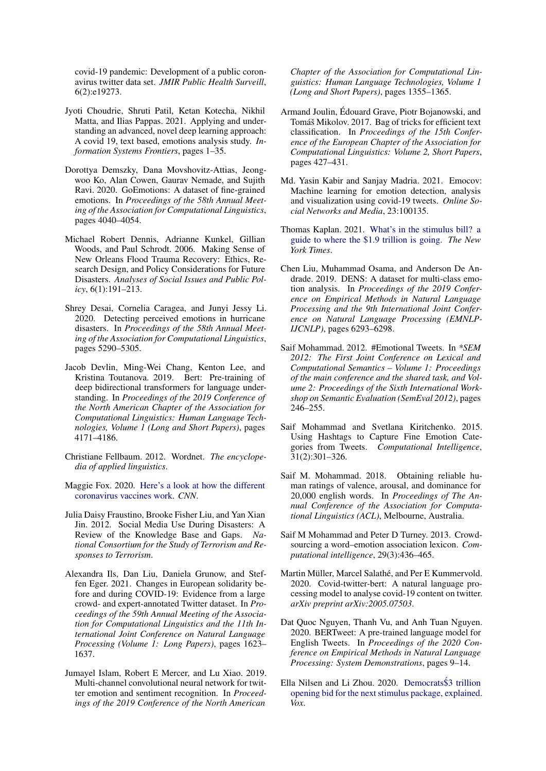covid-19 pandemic: Development of a public coronavirus twitter data set. *JMIR Public Health Surveill*, 6(2):e19273.

- <span id="page-9-19"></span>Jyoti Choudrie, Shruti Patil, Ketan Kotecha, Nikhil Matta, and Ilias Pappas. 2021. Applying and understanding an advanced, novel deep learning approach: A covid 19, text based, emotions analysis study. *Information Systems Frontiers*, pages 1–35.
- <span id="page-9-4"></span>Dorottya Demszky, Dana Movshovitz-Attias, Jeongwoo Ko, Alan Cowen, Gaurav Nemade, and Sujith Ravi. 2020. GoEmotions: A dataset of fine-grained emotions. In *Proceedings of the 58th Annual Meeting of the Association for Computational Linguistics*, pages 4040–4054.
- <span id="page-9-0"></span>Michael Robert Dennis, Adrianne Kunkel, Gillian Woods, and Paul Schrodt. 2006. Making Sense of New Orleans Flood Trauma Recovery: Ethics, Research Design, and Policy Considerations for Future Disasters. *Analyses of Social Issues and Public Policy*, 6(1):191–213.
- <span id="page-9-5"></span>Shrey Desai, Cornelia Caragea, and Junyi Jessy Li. 2020. Detecting perceived emotions in hurricane disasters. In *Proceedings of the 58th Annual Meeting of the Association for Computational Linguistics*, pages 5290–5305.
- <span id="page-9-6"></span>Jacob Devlin, Ming-Wei Chang, Kenton Lee, and Kristina Toutanova. 2019. Bert: Pre-training of deep bidirectional transformers for language understanding. In *Proceedings of the 2019 Conference of the North American Chapter of the Association for Computational Linguistics: Human Language Technologies, Volume 1 (Long and Short Papers)*, pages 4171–4186.
- <span id="page-9-20"></span>Christiane Fellbaum. 2012. Wordnet. *The encyclopedia of applied linguistics*.
- <span id="page-9-12"></span>Maggie Fox. 2020. [Here's a look at how the different](https://www.cnn.com/2020/11/24/health/covid-vaccines-design-explained/index.html) [coronavirus vaccines work.](https://www.cnn.com/2020/11/24/health/covid-vaccines-design-explained/index.html) *CNN*.
- <span id="page-9-1"></span>Julia Daisy Fraustino, Brooke Fisher Liu, and Yan Xian Jin. 2012. Social Media Use During Disasters: A Review of the Knowledge Base and Gaps. *National Consortium for the Study of Terrorism and Responses to Terrorism*.
- <span id="page-9-17"></span>Alexandra Ils, Dan Liu, Daniela Grunow, and Steffen Eger. 2021. Changes in European solidarity before and during COVID-19: Evidence from a large crowd- and expert-annotated Twitter dataset. In *Proceedings of the 59th Annual Meeting of the Association for Computational Linguistics and the 11th International Joint Conference on Natural Language Processing (Volume 1: Long Papers)*, pages 1623– 1637.
- <span id="page-9-14"></span>Jumayel Islam, Robert E Mercer, and Lu Xiao. 2019. Multi-channel convolutional neural network for twitter emotion and sentiment recognition. In *Proceedings of the 2019 Conference of the North American*

*Chapter of the Association for Computational Linguistics: Human Language Technologies, Volume 1 (Long and Short Papers)*, pages 1355–1365.

- <span id="page-9-10"></span>Armand Joulin, Édouard Grave, Piotr Bojanowski, and Tomáš Mikolov. 2017. Bag of tricks for efficient text classification. In *Proceedings of the 15th Conference of the European Chapter of the Association for Computational Linguistics: Volume 2, Short Papers*, pages 427–431.
- <span id="page-9-18"></span>Md. Yasin Kabir and Sanjay Madria. 2021. Emocov: Machine learning for emotion detection, analysis and visualization using covid-19 tweets. *Online Social Networks and Media*, 23:100135.
- <span id="page-9-13"></span>Thomas Kaplan. 2021. [What's in the stimulus bill? a](https://www.nytimes.com/2021/03/07/us/politics/whats-in-the-stimulus-bill.html) [guide to where the \\$1.9 trillion is going.](https://www.nytimes.com/2021/03/07/us/politics/whats-in-the-stimulus-bill.html) *The New York Times*.
- <span id="page-9-15"></span>Chen Liu, Muhammad Osama, and Anderson De Andrade. 2019. DENS: A dataset for multi-class emotion analysis. In *Proceedings of the 2019 Conference on Empirical Methods in Natural Language Processing and the 9th International Joint Conference on Natural Language Processing (EMNLP-IJCNLP)*, pages 6293–6298.
- <span id="page-9-2"></span>Saif Mohammad. 2012. #Emotional Tweets. In *\*SEM 2012: The First Joint Conference on Lexical and Computational Semantics – Volume 1: Proceedings of the main conference and the shared task, and Volume 2: Proceedings of the Sixth International Workshop on Semantic Evaluation (SemEval 2012)*, pages 246–255.
- <span id="page-9-3"></span>Saif Mohammad and Svetlana Kiritchenko. 2015. Using Hashtags to Capture Fine Emotion Categories from Tweets. *Computational Intelligence*, 31(2):301–326.
- <span id="page-9-16"></span>Saif M. Mohammad. 2018. Obtaining reliable human ratings of valence, arousal, and dominance for 20,000 english words. In *Proceedings of The Annual Conference of the Association for Computational Linguistics (ACL)*, Melbourne, Australia.
- <span id="page-9-9"></span>Saif M Mohammad and Peter D Turney. 2013. Crowdsourcing a word–emotion association lexicon. *Computational intelligence*, 29(3):436–465.
- <span id="page-9-8"></span>Martin Müller, Marcel Salathé, and Per E Kummervold. 2020. Covid-twitter-bert: A natural language processing model to analyse covid-19 content on twitter. *arXiv preprint arXiv:2005.07503*.
- <span id="page-9-7"></span>Dat Quoc Nguyen, Thanh Vu, and Anh Tuan Nguyen. 2020. BERTweet: A pre-trained language model for English Tweets. In *Proceedings of the 2020 Conference on Empirical Methods in Natural Language Processing: System Demonstrations*, pages 9–14.
- <span id="page-9-11"></span>Ella Nilsen and Li Zhou. 2020. Democrats\$3 trillion [opening bid for the next stimulus package, explained.](https://www.vox.com/2020/5/12/21254397/next-coronavirus-stimulus-package-democrats-heroes-ac) *Vox*.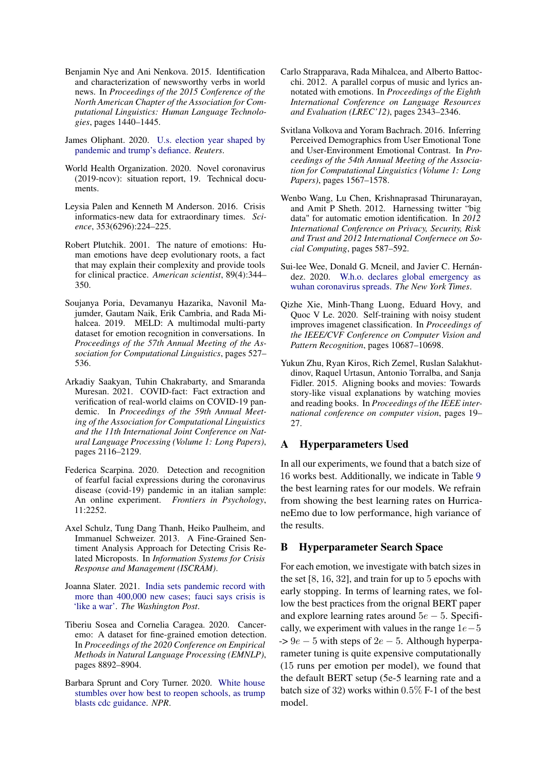- <span id="page-10-6"></span>Benjamin Nye and Ani Nenkova. 2015. Identification and characterization of newsworthy verbs in world news. In *Proceedings of the 2015 Conference of the North American Chapter of the Association for Computational Linguistics: Human Language Technologies*, pages 1440–1445.
- <span id="page-10-10"></span>James Oliphant. 2020. [U.s. election year shaped by](https://www.reuters.com/article/global-poy-usa-election-idUSKBN28K1FU) [pandemic and trump's defiance.](https://www.reuters.com/article/global-poy-usa-election-idUSKBN28K1FU) *Reuters*.
- <span id="page-10-7"></span>World Health Organization. 2020. Novel coronavirus (2019-ncov): situation report, 19. Technical documents.
- <span id="page-10-3"></span>Leysia Palen and Kenneth M Anderson. 2016. Crisis informatics-new data for extraordinary times. *Science*, 353(6296):224–225.
- <span id="page-10-4"></span>Robert Plutchik. 2001. The nature of emotions: Human emotions have deep evolutionary roots, a fact that may explain their complexity and provide tools for clinical practice. *American scientist*, 89(4):344– 350.
- <span id="page-10-14"></span>Soujanya Poria, Devamanyu Hazarika, Navonil Majumder, Gautam Naik, Erik Cambria, and Rada Mihalcea. 2019. MELD: A multimodal multi-party dataset for emotion recognition in conversations. In *Proceedings of the 57th Annual Meeting of the Association for Computational Linguistics*, pages 527– 536.
- <span id="page-10-16"></span>Arkadiy Saakyan, Tuhin Chakrabarty, and Smaranda Muresan. 2021. COVID-fact: Fact extraction and verification of real-world claims on COVID-19 pandemic. In *Proceedings of the 59th Annual Meeting of the Association for Computational Linguistics and the 11th International Joint Conference on Natural Language Processing (Volume 1: Long Papers)*, pages 2116–2129.
- <span id="page-10-17"></span>Federica Scarpina. 2020. Detection and recognition of fearful facial expressions during the coronavirus disease (covid-19) pandemic in an italian sample: An online experiment. *Frontiers in Psychology*, 11:2252.
- <span id="page-10-2"></span>Axel Schulz, Tung Dang Thanh, Heiko Paulheim, and Immanuel Schweizer. 2013. A Fine-Grained Sentiment Analysis Approach for Detecting Crisis Related Microposts. In *Information Systems for Crisis Response and Management (ISCRAM)*.
- <span id="page-10-11"></span>Joanna Slater. 2021. [India sets pandemic record with](https://www.washingtonpost.com/world/2021/05/01/india-coronavirus/) [more than 400,000 new cases; fauci says crisis is](https://www.washingtonpost.com/world/2021/05/01/india-coronavirus/) ['like a war'.](https://www.washingtonpost.com/world/2021/05/01/india-coronavirus/) *The Washington Post*.
- <span id="page-10-15"></span>Tiberiu Sosea and Cornelia Caragea. 2020. Canceremo: A dataset for fine-grained emotion detection. In *Proceedings of the 2020 Conference on Empirical Methods in Natural Language Processing (EMNLP)*, pages 8892–8904.
- <span id="page-10-9"></span>Barbara Sprunt and Cory Turner. 2020. [White house](https://www.npr.org/2020/07/08/888898194/trump-blasts-expensive-cdc-guidelines-for-reopening-schools) [stumbles over how best to reopen schools, as trump](https://www.npr.org/2020/07/08/888898194/trump-blasts-expensive-cdc-guidelines-for-reopening-schools) [blasts cdc guidance.](https://www.npr.org/2020/07/08/888898194/trump-blasts-expensive-cdc-guidelines-for-reopening-schools) *NPR*.
- <span id="page-10-13"></span>Carlo Strapparava, Rada Mihalcea, and Alberto Battocchi. 2012. A parallel corpus of music and lyrics annotated with emotions. In *Proceedings of the Eighth International Conference on Language Resources and Evaluation (LREC'12)*, pages 2343–2346.
- <span id="page-10-1"></span>Svitlana Volkova and Yoram Bachrach. 2016. Inferring Perceived Demographics from User Emotional Tone and User-Environment Emotional Contrast. In *Proceedings of the 54th Annual Meeting of the Association for Computational Linguistics (Volume 1: Long Papers)*, pages 1567–1578.
- <span id="page-10-0"></span>Wenbo Wang, Lu Chen, Krishnaprasad Thirunarayan, and Amit P Sheth. 2012. Harnessing twitter "big data" for automatic emotion identification. In *2012 International Conference on Privacy, Security, Risk and Trust and 2012 International Confernece on Social Computing*, pages 587–592.
- <span id="page-10-8"></span>Sui-lee Wee, Donald G. Mcneil, and Javier C. Hernández. 2020. [W.h.o. declares global emergency as](https://www.nytimes.com/2020/01/30/health/coronavirus-world-health-organization.html) [wuhan coronavirus spreads.](https://www.nytimes.com/2020/01/30/health/coronavirus-world-health-organization.html) *The New York Times*.
- <span id="page-10-5"></span>Qizhe Xie, Minh-Thang Luong, Eduard Hovy, and Quoc V Le. 2020. Self-training with noisy student improves imagenet classification. In *Proceedings of the IEEE/CVF Conference on Computer Vision and Pattern Recognition*, pages 10687–10698.
- <span id="page-10-12"></span>Yukun Zhu, Ryan Kiros, Rich Zemel, Ruslan Salakhutdinov, Raquel Urtasun, Antonio Torralba, and Sanja Fidler. 2015. Aligning books and movies: Towards story-like visual explanations by watching movies and reading books. In *Proceedings of the IEEE international conference on computer vision*, pages 19– 27.

# A Hyperparameters Used

In all our experiments, we found that a batch size of 16 works best. Additionally, we indicate in Table [9](#page-11-0) the best learning rates for our models. We refrain from showing the best learning rates on HurricaneEmo due to low performance, high variance of the results.

## B Hyperparameter Search Space

For each emotion, we investigate with batch sizes in the set [8, 16, 32], and train for up to 5 epochs with early stopping. In terms of learning rates, we follow the best practices from the orignal BERT paper and explore learning rates around  $5e - 5$ . Specifically, we experiment with values in the range  $1e-5$  $-$  > 9 $e - 5$  with steps of 2 $e - 5$ . Although hyperparameter tuning is quite expensive computationally (15 runs per emotion per model), we found that the default BERT setup (5e-5 learning rate and a batch size of 32) works within 0.5% F-1 of the best model.